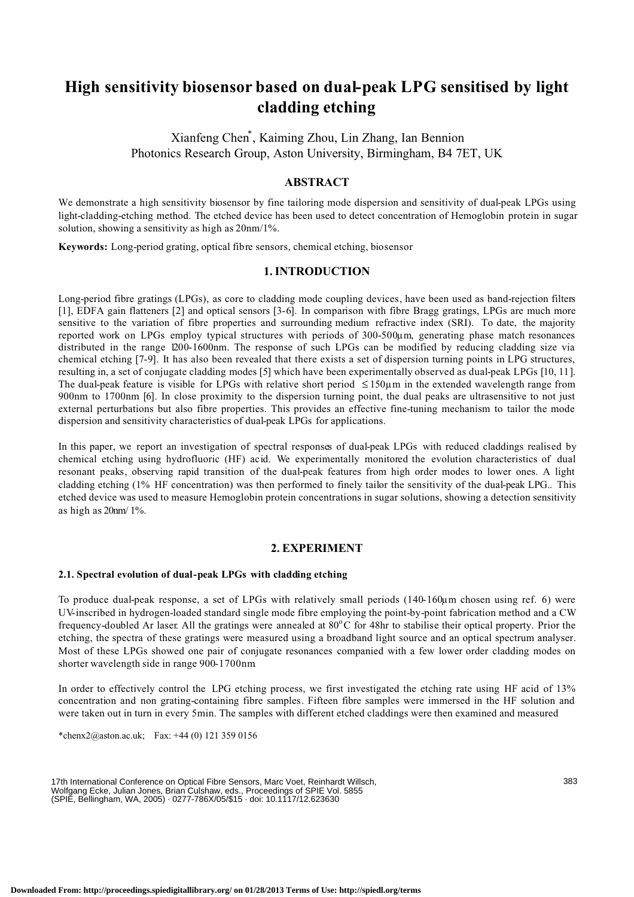# **High sensitivity biosensor based on dual-peak LPG sensitised by light cladding etching**

Xianfeng Chen\* , Kaiming Zhou, Lin Zhang, Ian Bennion Photonics Research Group, Aston University, Birmingham, B4 7ET, UK

## **ABSTRACT**

We demonstrate a high sensitivity biosensor by fine tailoring mode dispersion and sensitivity of dual-peak LPGs using light-cladding-etching method. The etched device has been used to detect concentration of Hemoglobin protein in sugar solution, showing a sensitivity as high as 20nm/1%.

**Keywords:** Long-period grating, optical fibre sensors, chemical etching, biosensor

### **1. INTRODUCTION**

Long-period fibre gratings (LPGs), as core to cladding mode coupling devices, have been used as band-rejection filters [1], EDFA gain flatteners [2] and optical sensors [3-6]. In comparison with fibre Bragg gratings, LPGs are much more sensitive to the variation of fibre properties and surrounding medium refractive index (SRI). To date, the majority reported work on LPGs employ typical structures with periods of 300-500µm, generating phase match resonances distributed in the range 1200-1600nm. The response of such LPGs can be modified by reducing cladding size via chemical etching [7-9]. It has also been revealed that there exists a set of dispersion turning points in LPG structures, resulting in, a set of conjugate cladding modes [5] which have been experimentally observed as dual-peak LPGs [10, 11]. The dual-peak feature is visible for LPGs with relative short period ≤ 150µm in the extended wavelength range from 900nm to 1700nm [6]. In close proximity to the dispersion turning point, the dual peaks are ultrasensitive to not just external perturbations but also fibre properties. This provides an effective fine-tuning mechanism to tailor the mode dispersion and sensitivity characteristics of dual-peak LPGs for applications.

In this paper, we report an investigation of spectral responses of dual-peak LPGs with reduced claddings realised by chemical etching using hydrofluoric (HF) acid. We experimentally monitored the evolution characteristics of dual resonant peaks, observing rapid transition of the dual-peak features from high order modes to lower ones. A light cladding etching (1% HF concentration) was then performed to finely tailor the sensitivity of the dual-peak LPG.. This etched device was used to measure Hemoglobin protein concentrations in sugar solutions, showing a detection sensitivity as high as 20nm/ 1%.

## **2. EXPERIMENT**

#### **2.1. Spectral evolution of dual-peak LPGs with cladding etching**

To produce dual-peak response, a set of LPGs with relatively small periods (140-160µm chosen using ref. 6) were UV-inscribed in hydrogen-loaded standard single mode fibre employing the point-by-point fabrication method and a CW frequency-doubled Ar laser. All the gratings were annealed at 80°C for 48hr to stabilise their optical property. Prior the etching, the spectra of these gratings were measured using a broadband light source and an optical spectrum analyser. Most of these LPGs showed one pair of conjugate resonances companied with a few lower order cladding modes on shorter wavelength side in range 900-1700nm.

In order to effectively control the LPG etching process, we first investigated the etching rate using HF acid of 13% concentration and non grating-containing fibre samples. Fifteen fibre samples were immersed in the HF solution and were taken out in turn in every 5min. The samples with different etched claddings were then examined and measured

\*chenx2@aston.ac.uk; Fax:  $+44(0)$  121 359 0156

17th International Conference on Optical Fibre Sensors, Marc Voet, Reinhardt Willsch, Wolfgang Ecke, Julian Jones, Brian Culshaw, eds., Proceedings of SPIE Vol. 5855 (SPIE, Bellingham, WA, 2005) · 0277-786X/05/\$15 · doi: 10.1117/12.623630

383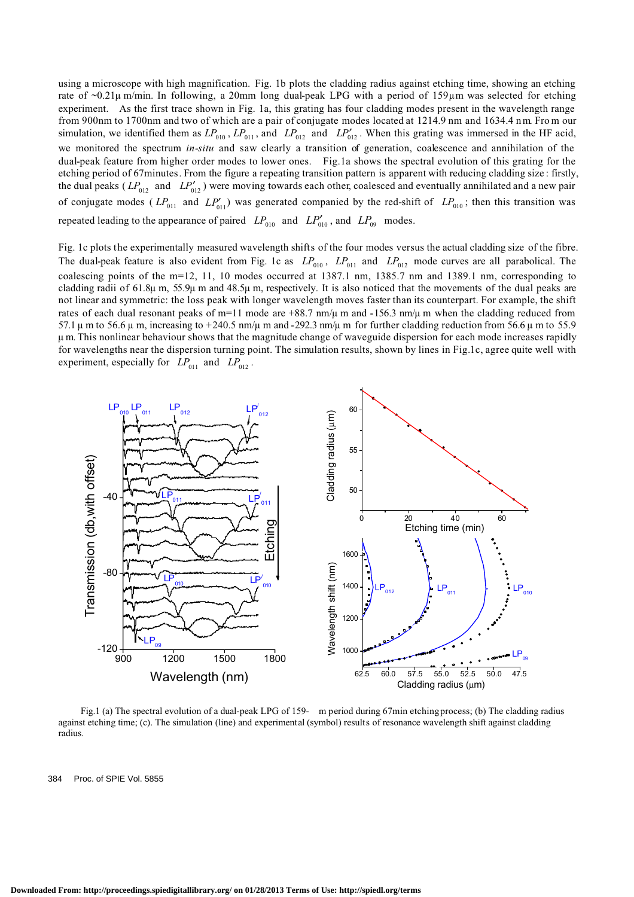using a microscope with high magnification. Fig. 1b plots the cladding radius against etching time, showing an etching rate of ~0.21µ m/min. In following, a 20mm long dual-peak LPG with a period of 159µm was selected for etching experiment. As the first trace shown in Fig. 1a, this grating has four cladding modes present in the wavelength range from 900nm to 1700nm and two of which are a pair of conjugate modes located at 1214.9 nm and 1634.4 nm. From our simulation, we identified them as  $LP_{010}$ ,  $LP_{011}$ , and  $LP_{012}$  and  $LP_{012}'$ . When this grating was immersed in the HF acid, we monitored the spectrum *in-situ* and saw clearly a transition of generation, coalescence and annihilation of the dual-peak feature from higher order modes to lower ones. Fig.1a shows the spectral evolution of this grating for the etching period of 67minutes. From the figure a repeating transition pattern is apparent with reducing cladding size : firstly, the dual peaks ( $LP_{012}$  and  $LP'_{012}$ ) were moving towards each other, coalesced and eventually annihilated and a new pair of conjugate modes ( $LP_{011}$  and  $LP'_{011}$ ) was generated companied by the red-shift of  $LP_{010}$ ; then this transition was repeated leading to the appearance of paired  $LP_{010}$  and  $LP_{010}'$ , and  $LP_{09}$  modes.

Fig. 1c plots the experimentally measured wavelength shifts of the four modes versus the actual cladding size of the fibre. The dual-peak feature is also evident from Fig. 1c as  $LP_{010}$ ,  $LP_{011}$  and  $LP_{012}$  mode curves are all parabolical. The coalescing points of the m=12, 11, 10 modes occurred at 1387.1 nm, 1385.7 nm and 1389.1 nm, corresponding to cladding radii of 61.8µ m, 55.9µ m and 48.5µ m, respectively. It is also noticed that the movements of the dual peaks are not linear and symmetric: the loss peak with longer wavelength moves faster than its counterpart. For example, the shift rates of each dual resonant peaks of m=11 mode are  $+88.7$  nm/ $\mu$  m and  $-156.3$  nm/ $\mu$  m when the cladding reduced from 57.1  $\mu$  m to 56.6  $\mu$  m, increasing to +240.5 nm/ $\mu$  m and -292.3 nm/ $\mu$  m for further cladding reduction from 56.6  $\mu$  m to 55.9 µ m. This nonlinear behaviour shows that the magnitude change of waveguide dispersion for each mode increases rapidly for wavelengths near the dispersion turning point. The simulation results, shown by lines in Fig.1c, agree quite well with experiment, especially for  $LP_{011}$  and  $LP_{012}$ .



Fig.1 (a) The spectral evolution of a dual-peak LPG of 159- m period during 67min etching process; (b) The cladding radius against etching time; (c). The simulation (line) and experimental (symbol) results of resonance wavelength shift against cladding radius.

384 Proc. of SPIE Vol. 5855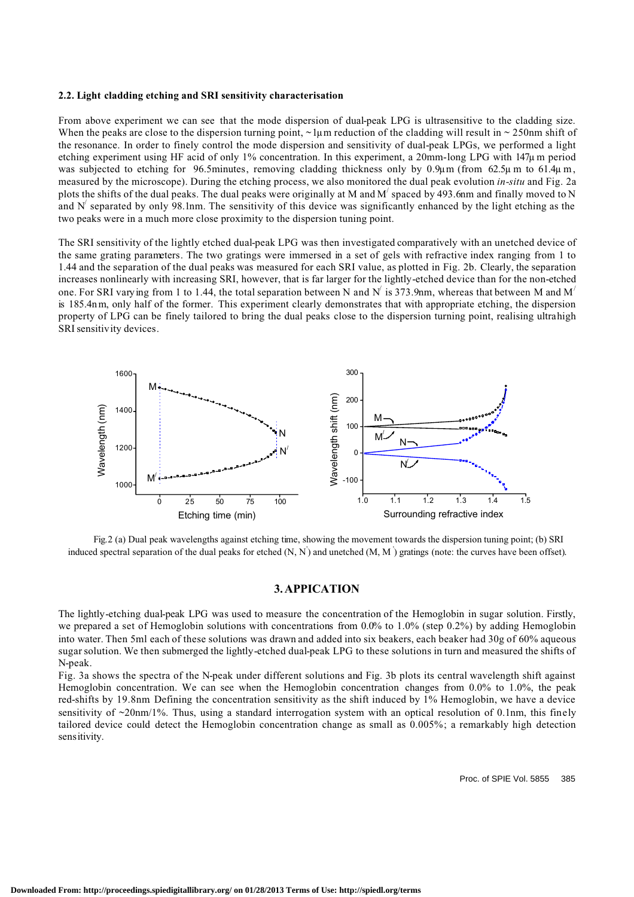#### **2.2. Light cladding etching and SRI sensitivity characterisation**

From above experiment we can see that the mode dispersion of dual-peak LPG is ultrasensitive to the cladding size. When the peaks are close to the dispersion turning point,  $\sim$  1 $\mu$ m reduction of the cladding will result in  $\sim$  250nm shift of the resonance. In order to finely control the mode dispersion and sensitivity of dual-peak LPGs, we performed a light etching experiment using HF acid of only 1% concentration. In this experiment, a 20mm-long LPG with 147µ m period was subjected to etching for 96.5minutes, removing cladding thickness only by 0.9 $\mu$ m (from 62.5 $\mu$ m to 61.4 $\mu$ m, measured by the microscope). During the etching process, we also monitored the dual peak evolution *in-situ* and Fig. 2a plots the shifts of the dual peaks. The dual peaks were originally at M and  $M'$  spaced by 493.6nm and finally moved to N and  $N'$  separated by only 98.1nm. The sensitivity of this device was significantly enhanced by the light etching as the two peaks were in a much more close proximity to the dispersion tuning point.

The SRI sensitivity of the lightly etched dual-peak LPG was then investigated comparatively with an unetched device of the same grating parameters. The two gratings were immersed in a set of gels with refractive index ranging from 1 to 1.44 and the separation of the dual peaks was measured for each SRI value, as plotted in Fig. 2b. Clearly, the separation increases nonlinearly with increasing SRI, however, that is far larger for the lightly-etched device than for the non-etched one. For SRI varying from 1 to 1.44, the total separation between N and N' is 373.9nm, whereas that between M and M' is 185.4n m, only half of the former. This experiment clearly demonstrates that with appropriate etching, the dispersion property of LPG can be finely tailored to bring the dual peaks close to the dispersion turning point, realising ultrahigh SRI sensitivity devices.



Fig.2 (a) Dual peak wavelengths against etching time, showing the movement towards the dispersion tuning point; (b) SRI induced spectral separation of the dual peaks for etched (N, N' ) and unetched (M, M ' ) gratings (note: the curves have been offset).

#### **3. APPICATION**

The lightly-etching dual-peak LPG was used to measure the concentration of the Hemoglobin in sugar solution. Firstly, we prepared a set of Hemoglobin solutions with concentrations from 0.0% to 1.0% (step 0.2%) by adding Hemoglobin into water. Then 5ml each of these solutions was drawn and added into six beakers, each beaker had 30g of 60% aqueous sugarsolution. We then submerged the lightly-etched dual-peak LPG to these solutions in turn and measured the shifts of N-peak.

Fig. 3a shows the spectra of the N-peak under different solutions and Fig. 3b plots its central wavelength shift against Hemoglobin concentration. We can see when the Hemoglobin concentration changes from 0.0% to 1.0%, the peak red-shifts by 19.8nm. Defining the concentration sensitivity as the shift induced by 1% Hemoglobin, we have a device sensitivity of  $\sim$ 20nm/1%. Thus, using a standard interrogation system with an optical resolution of 0.1nm, this finely tailored device could detect the Hemoglobin concentration change as small as 0.005%; a remarkably high detection sensitivity.

Proc. of SPIE Vol. 5855 385